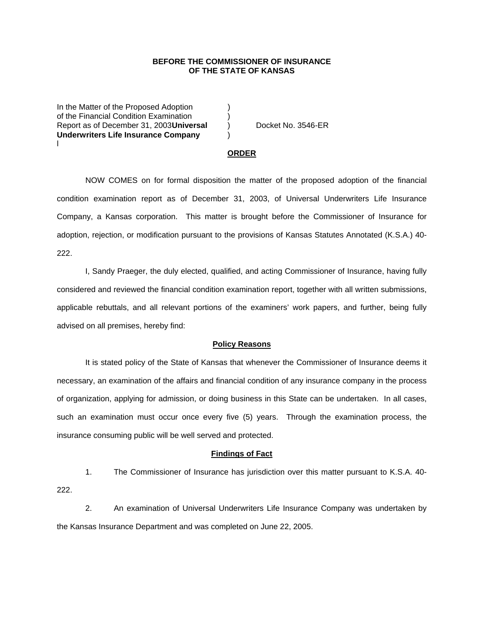## **BEFORE THE COMMISSIONER OF INSURANCE OF THE STATE OF KANSAS**

In the Matter of the Proposed Adoption of the Financial Condition Examination ) Report as of December 31, 2003**Universal** ) Docket No. 3546-ER **Underwriters Life Insurance Company** ) l

#### **ORDER**

 NOW COMES on for formal disposition the matter of the proposed adoption of the financial condition examination report as of December 31, 2003, of Universal Underwriters Life Insurance Company, a Kansas corporation. This matter is brought before the Commissioner of Insurance for adoption, rejection, or modification pursuant to the provisions of Kansas Statutes Annotated (K.S.A.) 40- 222.

 I, Sandy Praeger, the duly elected, qualified, and acting Commissioner of Insurance, having fully considered and reviewed the financial condition examination report, together with all written submissions, applicable rebuttals, and all relevant portions of the examiners' work papers, and further, being fully advised on all premises, hereby find:

### **Policy Reasons**

 It is stated policy of the State of Kansas that whenever the Commissioner of Insurance deems it necessary, an examination of the affairs and financial condition of any insurance company in the process of organization, applying for admission, or doing business in this State can be undertaken. In all cases, such an examination must occur once every five (5) years. Through the examination process, the insurance consuming public will be well served and protected.

### **Findings of Fact**

 1. The Commissioner of Insurance has jurisdiction over this matter pursuant to K.S.A. 40- 222.

 2. An examination of Universal Underwriters Life Insurance Company was undertaken by the Kansas Insurance Department and was completed on June 22, 2005.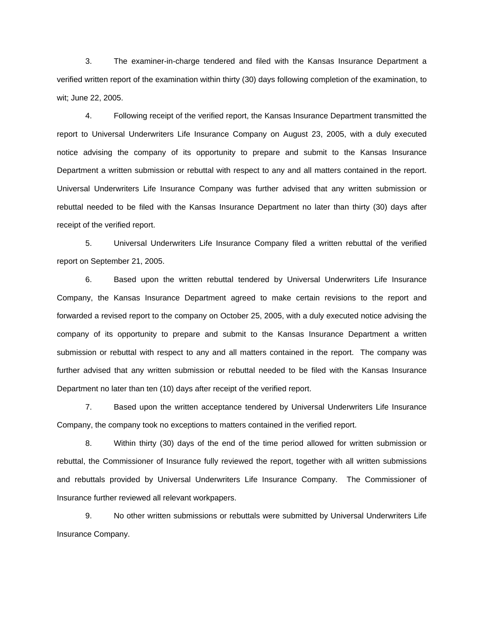3. The examiner-in-charge tendered and filed with the Kansas Insurance Department a verified written report of the examination within thirty (30) days following completion of the examination, to wit; June 22, 2005.

 4. Following receipt of the verified report, the Kansas Insurance Department transmitted the report to Universal Underwriters Life Insurance Company on August 23, 2005, with a duly executed notice advising the company of its opportunity to prepare and submit to the Kansas Insurance Department a written submission or rebuttal with respect to any and all matters contained in the report. Universal Underwriters Life Insurance Company was further advised that any written submission or rebuttal needed to be filed with the Kansas Insurance Department no later than thirty (30) days after receipt of the verified report.

 5. Universal Underwriters Life Insurance Company filed a written rebuttal of the verified report on September 21, 2005.

 6. Based upon the written rebuttal tendered by Universal Underwriters Life Insurance Company, the Kansas Insurance Department agreed to make certain revisions to the report and forwarded a revised report to the company on October 25, 2005, with a duly executed notice advising the company of its opportunity to prepare and submit to the Kansas Insurance Department a written submission or rebuttal with respect to any and all matters contained in the report. The company was further advised that any written submission or rebuttal needed to be filed with the Kansas Insurance Department no later than ten (10) days after receipt of the verified report.

 7. Based upon the written acceptance tendered by Universal Underwriters Life Insurance Company, the company took no exceptions to matters contained in the verified report.

 8. Within thirty (30) days of the end of the time period allowed for written submission or rebuttal, the Commissioner of Insurance fully reviewed the report, together with all written submissions and rebuttals provided by Universal Underwriters Life Insurance Company. The Commissioner of Insurance further reviewed all relevant workpapers.

 9. No other written submissions or rebuttals were submitted by Universal Underwriters Life Insurance Company.